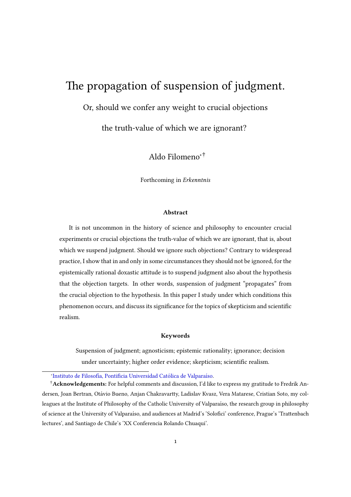# The propagation of suspension of judgment.

Or, should we confer any weight to crucial objections

the truth-value of which we are ignorant?

Aldo Filomeno∗†

Forthcoming in Erkenntnis

#### Abstract

It is not uncommon in the history of science and philosophy to encounter crucial experiments or crucial objections the truth-value of which we are ignorant, that is, about which we suspend judgment. Should we ignore such objections? Contrary to widespread practice, I show that in and only in some circumstances they should not be ignored, for the epistemically rational doxastic attitude is to suspend judgment also about the hypothesis that the objection targets. In other words, suspension of judgment "propagates" from the crucial objection to the hypothesis. In this paper I study under which conditions this phenomenon occurs, and discuss its signicance for the topics of skepticism and scientic realism.

#### Keywords

Suspension of judgment; agnosticism; epistemic rationality; ignorance; decision under uncertainty; higher order evidence; skepticism; scientific realism.

\*Instituto de Filosofía, Pontificia Universidad Católica de Valparaíso.

<sup>†</sup> Acknowledgements: For helpful comments and discussion, I'd like to express my gratitude to Fredrik Andersen, Joan Bertran, Otávio Bueno, Anjan Chakravartty, Ladislav Kvasz, Vera Matarese, Cristian Soto, my colleagues at the Institute of Philosophy of the Catholic University of Valparaíso, the research group in philosophy of science at the University of Valparaíso, and audiences at Madrid's 'Solofici' conference, Prague's 'Trattenbach lectures', and Santiago de Chile's 'XX Conferencia Rolando Chuaqui'.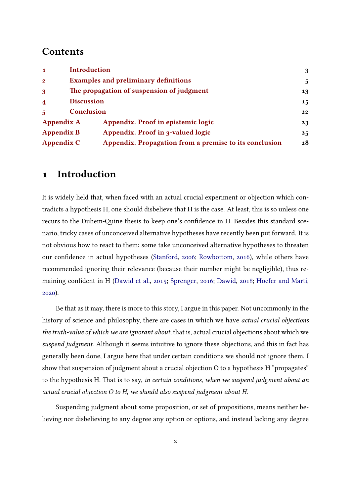#### **Contents**

| $\mathbf{1}$            | <b>Introduction</b>                         |                                                        | 3  |  |
|-------------------------|---------------------------------------------|--------------------------------------------------------|----|--|
| $\mathbf{2}$            | <b>Examples and preliminary definitions</b> |                                                        |    |  |
| 3                       | The propagation of suspension of judgment   |                                                        | 13 |  |
| $\overline{\mathbf{4}}$ | <b>Discussion</b>                           |                                                        | 15 |  |
|                         | Conclusion                                  |                                                        |    |  |
| <b>Appendix A</b>       |                                             | Appendix. Proof in epistemic logic                     | 23 |  |
| <b>Appendix B</b>       |                                             | Appendix. Proof in 3-valued logic                      | 25 |  |
| <b>Appendix C</b>       |                                             | Appendix. Propagation from a premise to its conclusion | 28 |  |

#### <span id="page-1-0"></span>1 Introduction

It is widely held that, when faced with an actual crucial experiment or objection which contradicts a hypothesis H, one should disbelieve that H is the case. At least, this is so unless one recurs to the Duhem-Quine thesis to keep one's confidence in H. Besides this standard scenario, tricky cases of unconceived alternative hypotheses have recently been put forward. It is not obvious how to react to them: some take unconceived alternative hypotheses to threaten our confidence in actual hypotheses [\(Stanford,](#page-28-0) [2006;](#page-28-0) Rowbottom, [2016\)](#page-28-1), while others have recommended ignoring their relevance (because their number might be negligible), thus re-maining confident in H [\(Dawid et al.,](#page-26-0) [2015;](#page-26-0) [Sprenger,](#page-28-2) [2016;](#page-28-2) [Dawid,](#page-26-1) [2018;](#page-26-1) Hoefer and Martí, [2020\)](#page-27-0).

Be that as it may, there is more to this story, I argue in this paper. Not uncommonly in the history of science and philosophy, there are cases in which we have actual crucial objections the truth-value of which we are ignorant about, that is, actual crucial objections about which we suspend judgment. Although it seems intuitive to ignore these objections, and this in fact has generally been done, I argue here that under certain conditions we should not ignore them. I show that suspension of judgment about a crucial objection O to a hypothesis H "propagates" to the hypothesis H. That is to say, in certain conditions, when we suspend judgment about an actual crucial objection O to H, we should also suspend judgment about H.

Suspending judgment about some proposition, or set of propositions, means neither believing nor disbelieving to any degree any option or options, and instead lacking any degree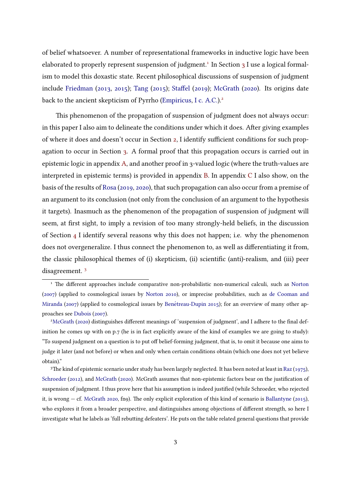of belief whatsoever. A number of representational frameworks in inductive logic have been elaborated to properly represent suspension of judgment.<sup>[1](#page-2-0)</sup> In Section [3](#page-11-0) I use a logical formalism to model this doxastic state. Recent philosophical discussions of suspension of judgment include [Friedman](#page-27-1) [\(2013,](#page-27-1) [2015\)](#page-27-2); [Tang](#page-28-3) [\(2015\)](#page-28-3); Staffel [\(2019\)](#page-28-4); [McGrath](#page-28-5) [\(2020\)](#page-28-5). Its origins date back to the ancient skepticism of Pyrrho [\(Empiricus,](#page-27-3) [I c. A.C.\)](#page-27-3).<sup>[2](#page-2-1)</sup>

This phenomenon of the propagation of suspension of judgment does not always occur: in this paper I also aim to delineate the conditions under which it does. After giving examples of where it does and doesn't occur in Section [2,](#page-3-0) I identify sufficient conditions for such propagation to occur in Section [3.](#page-11-0) A formal proof that this propagation occurs is carried out in epistemic logic in appendix [A,](#page-21-0) and another proof in 3-valued logic (where the truth-values are interpreted in epistemic terms) is provided in appendix [B.](#page-22-0) In appendix [C](#page-25-0) I also show, on the basis of the results of [Rosa](#page-28-6) [\(2019,](#page-28-6) [2020\)](#page-28-7), that such propagation can also occur from a premise of an argument to its conclusion (not only from the conclusion of an argument to the hypothesis it targets). Inasmuch as the phenomenon of the propagation of suspension of judgment will seem, at first sight, to imply a revision of too many strongly-held beliefs, in the discussion of Section [4](#page-13-0) I identify several reasons why this does not happen; i.e. why the phenomenon does not overgeneralize. I thus connect the phenomenon to, as well as differentiating it from, the classic philosophical themes of (i) skepticism, (ii) scientific (anti)-realism, and (iii) peer disagreement. [3](#page-2-2)

<span id="page-2-0"></span> $1$  The different approaches include comparative non-probabilistic non-numerical calculi, such as [Norton](#page-28-8) [\(2007\)](#page-28-8) (applied to cosmological issues by [Norton](#page-28-9) [2010\)](#page-28-9), or imprecise probabilities, such as [de Cooman and](#page-27-4) [Miranda](#page-27-4) [\(2007\)](#page-27-4) (applied to cosmological issues by Benétreau-Dupin  $2015$ ); for an overview of many other approaches see [Dubois](#page-27-5) [\(2007\)](#page-27-5).

<span id="page-2-1"></span><sup>&</sup>lt;sup>2</sup>[McGrath](#page-28-5) [\(2020\)](#page-28-5) distinguishes different meanings of 'suspension of judgment', and I adhere to the final definition he comes up with on p.7 (he is in fact explicitly aware of the kind of examples we are going to study): "To suspend judgment on a question is to put off belief-forming judgment, that is, to omit it because one aims to judge it later (and not before) or when and only when certain conditions obtain (which one does not yet believe obtain)."

<span id="page-2-2"></span><sup>&</sup>lt;sup>3</sup>The kind of epistemic scenario under study has been largely neglected. It has been noted at least in [Raz](#page-28-10) [\(1975\)](#page-28-10), [Schroeder](#page-28-11) [\(2012\)](#page-28-11), and [McGrath](#page-28-5) [\(2020\)](#page-28-5). McGrath assumes that non-epistemic factors bear on the justification of suspension of judgment. I thus prove here that his assumption is indeed justified (while Schroeder, who rejected it, is wrong — cf. [McGrath](#page-28-5) [2020,](#page-28-5) fn9). The only explicit exploration of this kind of scenario is [Ballantyne](#page-26-3) [\(2015\)](#page-26-3), who explores it from a broader perspective, and distinguishes among objections of different strength, so here I investigate what he labels as 'full rebutting defeaters'. He puts on the table related general questions that provide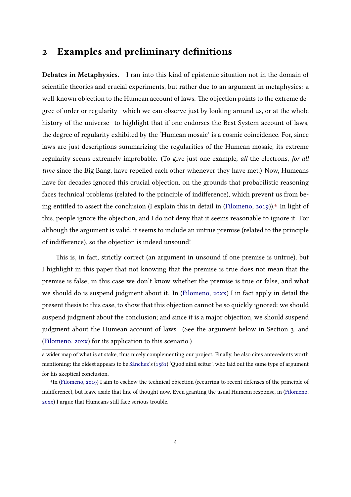## <span id="page-3-0"></span>2 Examples and preliminary definitions

Debates in Metaphysics. I ran into this kind of epistemic situation not in the domain of scientific theories and crucial experiments, but rather due to an argument in metaphysics: a well-known objection to the Humean account of laws. The objection points to the extreme degree of order or regularity—which we can observe just by looking around us, or at the whole history of the universe—to highlight that if one endorses the Best System account of laws, the degree of regularity exhibited by the 'Humean mosaic' is a cosmic coincidence. For, since laws are just descriptions summarizing the regularities of the Humean mosaic, its extreme regularity seems extremely improbable. (To give just one example, all the electrons, for all time since the Big Bang, have repelled each other whenever they have met.) Now, Humeans have for decades ignored this crucial objection, on the grounds that probabilistic reasoning faces technical problems (related to the principle of indifference), which prevent us from being entitled to assert the conclusion (I explain this in detail in [\(Filomeno,](#page-27-6) [2019\)](#page-27-6)).[4](#page-3-1) In light of this, people ignore the objection, and I do not deny that it seems reasonable to ignore it. For although the argument is valid, it seems to include an untrue premise (related to the principle of indifference), so the objection is indeed unsound!

This is, in fact, strictly correct (an argument in unsound if one premise is untrue), but I highlight in this paper that not knowing that the premise is true does not mean that the premise is false; in this case we don't know whether the premise is true or false, and what we should do is suspend judgment about it. In [\(Filomeno,](#page-27-7) [20xx\)](#page-27-7) I in fact apply in detail the present thesis to this case, to show that this objection cannot be so quickly ignored: we should suspend judgment about the conclusion; and since it is a major objection, we should suspend judgment about the Humean account of laws. (See the argument below in Section 3, and [\(Filomeno,](#page-27-7) [20xx\)](#page-27-7) for its application to this scenario.)

a wider map of what is at stake, thus nicely complementing our project. Finally, he also cites antecedents worth mentioning: the oldest appears to be Sánchez's [\(1581\)](#page-28-12) 'Quod nihil scitur', who laid out the same type of argument for his skeptical conclusion.

<span id="page-3-1"></span><sup>4</sup> In [\(Filomeno,](#page-27-6) [2019\)](#page-27-6) I aim to eschew the technical objection (recurring to recent defenses of the principle of indifference), but leave aside that line of thought now. Even granting the usual Humean response, in [\(Filomeno,](#page-27-7) [20xx\)](#page-27-7) I argue that Humeans still face serious trouble.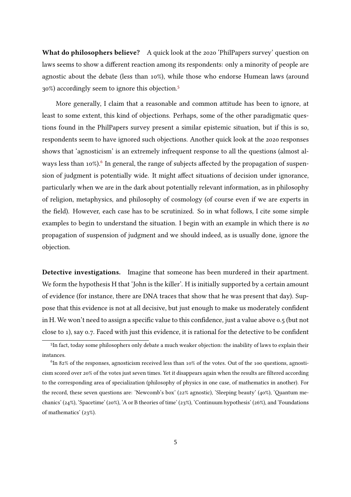What do philosophers believe? A quick look at the 2020 'PhilPapers survey' question on laws seems to show a different reaction among its respondents: only a minority of people are agnostic about the debate (less than 10%), while those who endorse Humean laws (around 30%) accordingly seem to ignore this objection.[5](#page-4-0)

More generally, I claim that a reasonable and common attitude has been to ignore, at least to some extent, this kind of objections. Perhaps, some of the other paradigmatic questions found in the PhilPapers survey present a similar epistemic situation, but if this is so, respondents seem to have ignored such objections. Another quick look at the 2020 responses shows that 'agnosticism' is an extremely infrequent response to all the questions (almost al-ways less than 10%).<sup>[6](#page-4-1)</sup> In general, the range of subjects affected by the propagation of suspension of judgment is potentially wide. It might affect situations of decision under ignorance, particularly when we are in the dark about potentially relevant information, as in philosophy of religion, metaphysics, and philosophy of cosmology (of course even if we are experts in the field). However, each case has to be scrutinized. So in what follows, I cite some simple examples to begin to understand the situation. I begin with an example in which there is no propagation of suspension of judgment and we should indeed, as is usually done, ignore the objection.

Detective investigations. Imagine that someone has been murdered in their apartment. We form the hypothesis H that 'John is the killer'. H is initially supported by a certain amount of evidence (for instance, there are DNA traces that show that he was present that day). Suppose that this evidence is not at all decisive, but just enough to make us moderately confident in H. We won't need to assign a specific value to this confidence, just a value above 0.5 (but not close to 1), say 0.7. Faced with just this evidence, it is rational for the detective to be confident

<span id="page-4-0"></span><sup>5</sup> In fact, today some philosophers only debate a much weaker objection: the inability of laws to explain their instances.

<span id="page-4-1"></span> ${}^{6}$ In 82% of the responses, agnosticism received less than 10% of the votes. Out of the 100 questions, agnosticism scored over 20% of the votes just seven times. Yet it disappears again when the results are ltered according to the corresponding area of specialization (philosophy of physics in one case, of mathematics in another). For the record, these seven questions are: 'Newcomb's box' (22% agnostic), 'Sleeping beauty' (40%), 'Quantum mechanics' (24%), 'Spacetime' (20%), 'A or B theories of time' (23%), 'Continuum hypothesis' (26%), and 'Foundations of mathematics' (23%).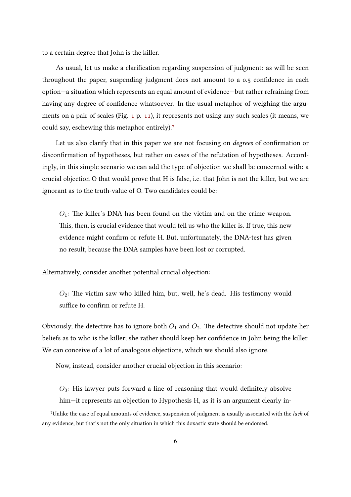to a certain degree that John is the killer.

As usual, let us make a clarification regarding suspension of judgment: as will be seen throughout the paper, suspending judgment does not amount to a 0.5 confidence in each option—a situation which represents an equal amount of evidence—but rather refraining from having any degree of confidence whatsoever. In the usual metaphor of weighing the arguments on a pair of scales (Fig. [1](#page-9-0) p. [11\)](#page-9-0), it represents not using any such scales (it means, we could say, eschewing this metaphor entirely).[7](#page-5-0)

Let us also clarify that in this paper we are not focusing on *degrees* of confirmation or disconfirmation of hypotheses, but rather on cases of the refutation of hypotheses. Accordingly, in this simple scenario we can add the type of objection we shall be concerned with: a crucial objection O that would prove that H is false, i.e. that John is not the killer, but we are ignorant as to the truth-value of O. Two candidates could be:

 $O_1$ : The killer's DNA has been found on the victim and on the crime weapon. This, then, is crucial evidence that would tell us who the killer is. If true, this new evidence might confirm or refute H. But, unfortunately, the DNA-test has given no result, because the DNA samples have been lost or corrupted.

Alternatively, consider another potential crucial objection:

 $O_2$ : The victim saw who killed him, but, well, he's dead. His testimony would suffice to confirm or refute H

Obviously, the detective has to ignore both  $O_1$  and  $O_2$ . The detective should not update her beliefs as to who is the killer; she rather should keep her confidence in John being the killer. We can conceive of a lot of analogous objections, which we should also ignore.

Now, instead, consider another crucial objection in this scenario:

 $O_3$ : His lawyer puts forward a line of reasoning that would definitely absolve him—it represents an objection to Hypothesis H, as it is an argument clearly in-

<span id="page-5-0"></span><sup>7</sup>Unlike the case of equal amounts of evidence, suspension of judgment is usually associated with the lack of any evidence, but that's not the only situation in which this doxastic state should be endorsed.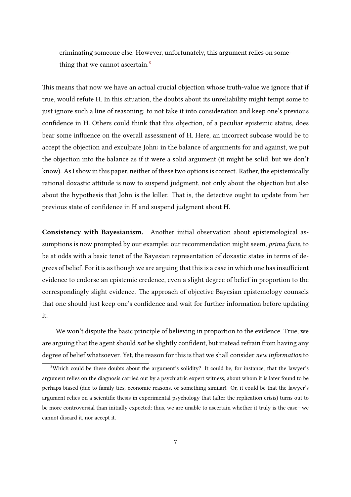criminating someone else. However, unfortunately, this argument relies on some-thing that we cannot ascertain.<sup>[8](#page-6-0)</sup>

This means that now we have an actual crucial objection whose truth-value we ignore that if true, would refute H. In this situation, the doubts about its unreliability might tempt some to just ignore such a line of reasoning: to not take it into consideration and keep one's previous confidence in H. Others could think that this objection, of a peculiar epistemic status, does bear some influence on the overall assessment of H. Here, an incorrect subcase would be to accept the objection and exculpate John: in the balance of arguments for and against, we put the objection into the balance as if it were a solid argument (it might be solid, but we don't know). As I show in this paper, neither of these two options is correct. Rather, the epistemically rational doxastic attitude is now to suspend judgment, not only about the objection but also about the hypothesis that John is the killer. That is, the detective ought to update from her previous state of confidence in H and suspend judgment about H.

Consistency with Bayesianism. Another initial observation about epistemological assumptions is now prompted by our example: our recommendation might seem, *prima facie*, to be at odds with a basic tenet of the Bayesian representation of doxastic states in terms of degrees of belief. For it is as though we are arguing that this is a case in which one has insufficient evidence to endorse an epistemic credence, even a slight degree of belief in proportion to the correspondingly slight evidence. The approach of objective Bayesian epistemology counsels that one should just keep one's confidence and wait for further information before updating it.

We won't dispute the basic principle of believing in proportion to the evidence. True, we are arguing that the agent should *not* be slightly confident, but instead refrain from having any degree of belief whatsoever. Yet, the reason for this is that we shall consider new information to

<span id="page-6-0"></span><sup>8</sup>Which could be these doubts about the argument's solidity? It could be, for instance, that the lawyer's argument relies on the diagnosis carried out by a psychiatric expert witness, about whom it is later found to be perhaps biased (due to family ties, economic reasons, or something similar). Or, it could be that the lawyer's argument relies on a scientific thesis in experimental psychology that (after the replication crisis) turns out to be more controversial than initially expected; thus, we are unable to ascertain whether it truly is the case—we cannot discard it, nor accept it.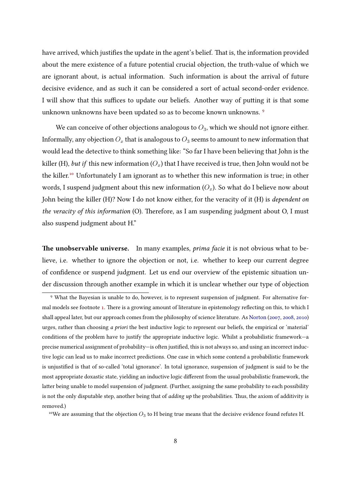have arrived, which justifies the update in the agent's belief. That is, the information provided about the mere existence of a future potential crucial objection, the truth-value of which we are ignorant about, is actual information. Such information is about the arrival of future decisive evidence, and as such it can be considered a sort of actual second-order evidence. I will show that this suffices to update our beliefs. Another way of putting it is that some unknown unknowns have been updated so as to become known unknowns.<sup>[9](#page-7-0)</sup>

We can conceive of other objections analogous to  $O_3$ , which we should not ignore either. Informally, any objection  $O_x$  that is analogous to  $O_3$  seems to amount to new information that would lead the detective to think something like: "So far I have been believing that John is the killer (H), but if this new information  $(O_x)$  that I have received is true, then John would not be the killer.[10](#page-7-1) Unfortunately I am ignorant as to whether this new information is true; in other words, I suspend judgment about this new information  $(O_x)$ . So what do I believe now about John being the killer (H)? Now I do not know either, for the veracity of it (H) is dependent on the veracity of this information  $(O)$ . Therefore, as I am suspending judgment about  $O$ , I must also suspend judgment about H."

<span id="page-7-2"></span>The unobservable universe. In many examples, *prima facie* it is not obvious what to believe, i.e. whether to ignore the objection or not, i.e. whether to keep our current degree of confidence or suspend judgment. Let us end our overview of the epistemic situation under discussion through another example in which it is unclear whether our type of objection

<span id="page-7-0"></span><sup>9</sup> What the Bayesian is unable to do, however, is to represent suspension of judgment. For alternative for-mal models see footnote [1.](#page-2-0) There is a growing amount of literature in epistemology reflecting on this, to which I shall appeal later, but our approach comes from the philosophy of science literature. As [Norton](#page-28-8) [\(2007,](#page-28-8) [2008,](#page-28-13) [2010\)](#page-28-9) urges, rather than choosing *a priori* the best inductive logic to represent our beliefs, the empirical or 'material' conditions of the problem have to justify the appropriate inductive logic. Whilst a probabilistic framework—a precise numerical assignment of probability—is often justified, this is not always so, and using an incorrect inductive logic can lead us to make incorrect predictions. One case in which some contend a probabilistic framework is unjustified is that of so-called 'total ignorance'. In total ignorance, suspension of judgment is said to be the most appropriate doxastic state, yielding an inductive logic different from the usual probabilistic framework, the latter being unable to model suspension of judgment. (Further, assigning the same probability to each possibility is not the only disputable step, another being that of *adding up* the probabilities. Thus, the axiom of additivity is removed.)

<span id="page-7-1"></span><sup>&</sup>lt;sup>10</sup>We are assuming that the objection  $O_3$  to H being true means that the decisive evidence found refutes H.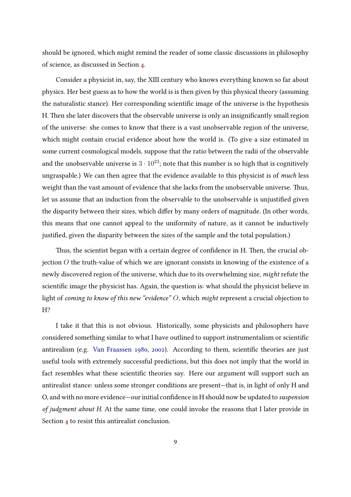should be ignored, which might remind the reader of some classic discussions in philosophy of science, as discussed in Section [4.](#page-13-0)

Consider a physicist in, say, the XIII century who knows everything known so far about physics. Her best guess as to how the world is is then given by this physical theory (assuming the naturalistic stance). Her corresponding scientific image of the universe is the hypothesis H. Then she later discovers that the observable universe is only an insignificantly small region of the universe: she comes to know that there is a vast unobservable region of the universe, which might contain crucial evidence about how the world is. (To give a size estimated in some current cosmological models, suppose that the ratio between the radii of the observable and the unobservable universe is  $3 \cdot 10^{23}$ ; note that this number is so high that is cognitively ungraspable.) We can then agree that the evidence available to this physicist is of much less weight than the vast amount of evidence that she lacks from the unobservable universe. Thus, let us assume that an induction from the observable to the unobservable is unjustified given the disparity between their sizes, which differ by many orders of magnitude. (In other words, this means that one cannot appeal to the uniformity of nature, as it cannot be inductively justified, given the disparity between the sizes of the sample and the total population.)

Thus, the scientist began with a certain degree of confidence in H. Then, the crucial objection  $O$  the truth-value of which we are ignorant consists in knowing of the existence of a newly discovered region of the universe, which due to its overwhelming size, might refute the scientific image the physicist has. Again, the question is: what should the physicist believe in light of coming to know of this new "evidence" O, which might represent a crucial objection to H?

I take it that this is not obvious. Historically, some physicists and philosophers have considered something similar to what I have outlined to support instrumentalism or scientific antirealism (e.g. [Van Fraassen](#page-28-14) [1980,](#page-28-14) [2002\)](#page-28-15). According to them, scientific theories are just useful tools with extremely successful predictions, but this does not imply that the world in fact resembles what these scientific theories say. Here our argument will support such an antirealist stance: unless some stronger conditions are present—that is, in light of only H and O, and with no more evidence—our initial confidence in H should now be updated to suspension of judgment about H. At the same time, one could invoke the reasons that I later provide in Section [4](#page-13-0) to resist this antirealist conclusion.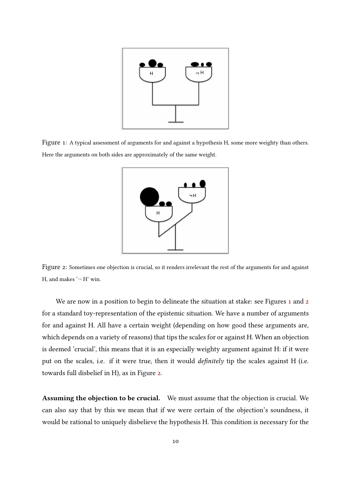<span id="page-9-0"></span>

<span id="page-9-1"></span>Figure 1: A typical assessment of arguments for and against a hypothesis H, some more weighty than others. Here the arguments on both sides are approximately of the same weight.



Figure 2: Sometimes one objection is crucial, so it renders irrelevant the rest of the arguments for and against H, and makes  $\rightarrow$  H' win.

We are now in a position to begin to delineate the situation at stake: see Figures [1](#page-9-0) and [2](#page-9-1) for a standard toy-representation of the epistemic situation. We have a number of arguments for and against H. All have a certain weight (depending on how good these arguments are, which depends on a variety of reasons) that tips the scales for or against H. When an objection is deemed 'crucial', this means that it is an especially weighty argument against H: if it were put on the scales, i.e. if it were true, then it would *definitely* tip the scales against H (i.e. towards full disbelief in H), as in Figure [2.](#page-9-1)

Assuming the objection to be crucial. We must assume that the objection is crucial. We can also say that by this we mean that if we were certain of the objection's soundness, it would be rational to uniquely disbelieve the hypothesis H. This condition is necessary for the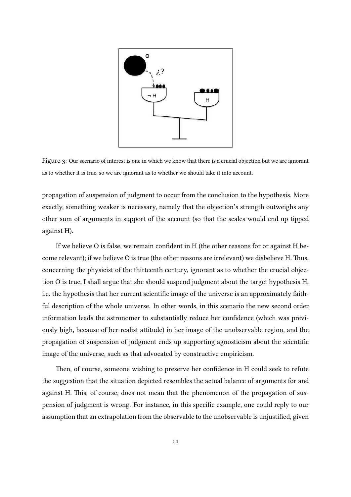<span id="page-10-0"></span>

Figure 3: Our scenario of interest is one in which we know that there is a crucial objection but we are ignorant as to whether it is true, so we are ignorant as to whether we should take it into account.

propagation of suspension of judgment to occur from the conclusion to the hypothesis. More exactly, something weaker is necessary, namely that the objection's strength outweighs any other sum of arguments in support of the account (so that the scales would end up tipped against H).

If we believe O is false, we remain confident in  $H$  (the other reasons for or against  $H$  become relevant); if we believe O is true (the other reasons are irrelevant) we disbelieve H. Thus, concerning the physicist of the thirteenth century, ignorant as to whether the crucial objection O is true, I shall argue that she should suspend judgment about the target hypothesis H, i.e. the hypothesis that her current scientific image of the universe is an approximately faithful description of the whole universe. In other words, in this scenario the new second order information leads the astronomer to substantially reduce her confidence (which was previously high, because of her realist attitude) in her image of the unobservable region, and the propagation of suspension of judgment ends up supporting agnosticism about the scientific image of the universe, such as that advocated by constructive empiricism.

Then, of course, someone wishing to preserve her confidence in H could seek to refute the suggestion that the situation depicted resembles the actual balance of arguments for and against H. This, of course, does not mean that the phenomenon of the propagation of suspension of judgment is wrong. For instance, in this specific example, one could reply to our assumption that an extrapolation from the observable to the unobservable is unjustified, given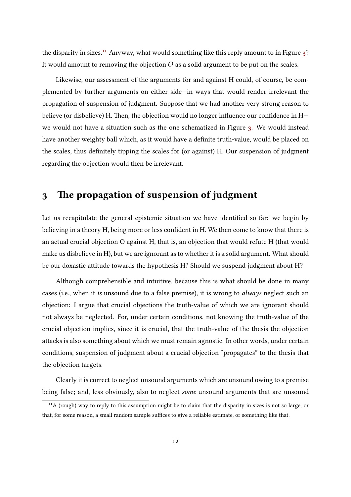the disparity in sizes.<sup>[11](#page-11-1)</sup> Anyway, what would something like this reply amount to in Figure  $3$ ? It would amount to removing the objection  $O$  as a solid argument to be put on the scales.

Likewise, our assessment of the arguments for and against H could, of course, be complemented by further arguments on either side—in ways that would render irrelevant the propagation of suspension of judgment. Suppose that we had another very strong reason to believe (or disbelieve) H. Then, the objection would no longer influence our confidence in  $H$ we would not have a situation such as the one schematized in Figure [3.](#page-10-0) We would instead have another weighty ball which, as it would have a definite truth-value, would be placed on the scales, thus definitely tipping the scales for (or against) H. Our suspension of judgment regarding the objection would then be irrelevant.

### <span id="page-11-0"></span>3 The propagation of suspension of judgment

Let us recapitulate the general epistemic situation we have identified so far: we begin by believing in a theory H, being more or less confident in H. We then come to know that there is an actual crucial objection O against H, that is, an objection that would refute H (that would make us disbelieve in H), but we are ignorant as to whether it is a solid argument. What should be our doxastic attitude towards the hypothesis H? Should we suspend judgment about H?

Although comprehensible and intuitive, because this is what should be done in many cases (i.e., when it is unsound due to a false premise), it is wrong to always neglect such an objection: I argue that crucial objections the truth-value of which we are ignorant should not always be neglected. For, under certain conditions, not knowing the truth-value of the crucial objection implies, since it is crucial, that the truth-value of the thesis the objection attacks is also something about which we must remain agnostic. In other words, under certain conditions, suspension of judgment about a crucial objection "propagates" to the thesis that the objection targets.

Clearly it is correct to neglect unsound arguments which are unsound owing to a premise being false; and, less obviously, also to neglect some unsound arguments that are unsound

<span id="page-11-1"></span><sup>&</sup>lt;sup>11</sup>A (rough) way to reply to this assumption might be to claim that the disparity in sizes is not so large, or that, for some reason, a small random sample suffices to give a reliable estimate, or something like that.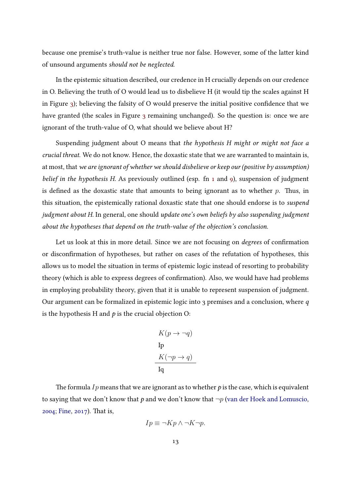because one premise's truth-value is neither true nor false. However, some of the latter kind of unsound arguments should not be neglected.

In the epistemic situation described, our credence in H crucially depends on our credence in O. Believing the truth of O would lead us to disbelieve H (it would tip the scales against H in Figure [3\)](#page-10-0); believing the falsity of O would preserve the initial positive confidence that we have granted (the scales in Figure [3](#page-10-0) remaining unchanged). So the question is: once we are ignorant of the truth-value of O, what should we believe about H?

Suspending judgment about O means that the hypothesis H might or might not face a crucial threat. We do not know. Hence, the doxastic state that we are warranted to maintain is, at most, that we are ignorant of whether we should disbelieve or keep our (positive by assumption) belief in the hypothesis H. As previously outlined (esp. fn  $1$  and  $9$ ), suspension of judgment is defined as the doxastic state that amounts to being ignorant as to whether  $p$ . Thus, in this situation, the epistemically rational doxastic state that one should endorse is to suspend judgment about H. In general, one should update one's own beliefs by also suspending judgment about the hypotheses that depend on the truth-value of the objection's conclusion.

Let us look at this in more detail. Since we are not focusing on *degrees* of confirmation or disconfirmation of hypotheses, but rather on cases of the refutation of hypotheses, this allows us to model the situation in terms of epistemic logic instead of resorting to probability theory (which is able to express degrees of confirmation). Also, we would have had problems in employing probability theory, given that it is unable to represent suspension of judgment. Our argument can be formalized in epistemic logic into 3 premises and a conclusion, where  $q$ is the hypothesis H and  $p$  is the crucial objection O:

$$
K(p \to \neg q)
$$
  
Ip  

$$
K(\neg p \to q)
$$
  
Iq

The formula Ip means that we are ignorant as to whether p is the case, which is equivalent to saying that we don't know that p and we don't know that  $\neg p$  [\(van der Hoek and Lomuscio,](#page-27-8)  $2004$ ; [Fine,](#page-27-9)  $2017$ ). That is,

$$
I p \equiv \neg K p \land \neg K \neg p.
$$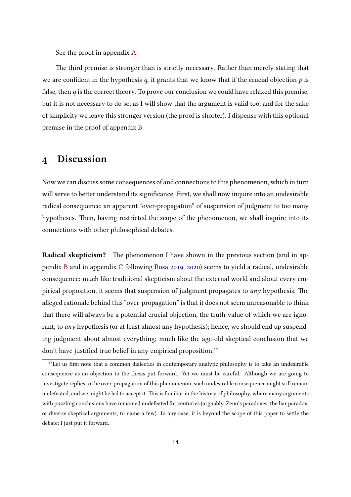See the proof in appendix [A.](#page-21-0)

The third premise is stronger than is strictly necessary. Rather than merely stating that we are confident in the hypothesis  $q$ , it grants that we know that if the crucial objection  $p$  is false, then  $q$  is the correct theory. To prove our conclusion we could have relaxed this premise, but it is not necessary to do so, as I will show that the argument is valid too, and for the sake of simplicity we leave this stronger version (the proof is shorter). I dispense with this optional premise in the proof of appendix [B.](#page-22-0)

#### <span id="page-13-0"></span>4 Discussion

Now we can discuss some consequences of and connections to this phenomenon, which in turn will serve to better understand its significance. First, we shall now inquire into an undesirable radical consequence: an apparent "over-propagation" of suspension of judgment to too many hypotheses. Then, having restricted the scope of the phenomenon, we shall inquire into its connections with other philosophical debates.

Radical skepticism? The phenomenon I have shown in the previous section (and in appendix [B](#page-22-0) and in appendix [C](#page-25-0) following [Rosa](#page-28-6) [2019,](#page-28-6) [2020\)](#page-28-7) seems to yield a radical, undesirable consequence: much like traditional skepticism about the external world and about every empirical proposition, it seems that suspension of judgment propagates to  $any$  hypothesis. The alleged rationale behind this "over-propagation" is that it does not seem unreasonable to think that there will always be a potential crucial objection, the truth-value of which we are ignorant, to *any* hypothesis (or at least almost any hypothesis); hence, we should end up suspending judgment about almost everything; much like the age-old skeptical conclusion that we don't have justified true belief in any empirical proposition.<sup>[12](#page-13-1)</sup>

<span id="page-13-1"></span> $12$ Let us first note that a common dialectics in contemporary analytic philosophy is to take an undesirable consequence as an objection to the thesis put forward. Yet we must be careful. Although we are going to investigate replies to the over-propagation of this phenomenon, such undesirable consequence might still remain undefeated, and we might be led to accept it. This is familiar in the history of philosophy, where many arguments with puzzling conclusions have remained undefeated for centuries (arguably, Zeno's paradoxes, the liar paradox, or diverse skeptical arguments, to name a few). In any case, it is beyond the scope of this paper to settle the debate; I just put it forward.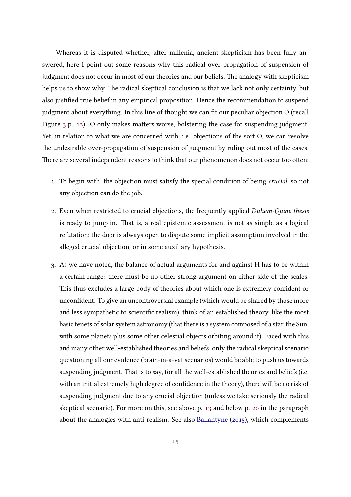Whereas it is disputed whether, after millenia, ancient skepticism has been fully answered, here I point out some reasons why this radical over-propagation of suspension of judgment does not occur in most of our theories and our beliefs. The analogy with skepticism helps us to show why. The radical skeptical conclusion is that we lack not only certainty, but also justified true belief in any empirical proposition. Hence the recommendation to suspend judgment about everything. In this line of thought we can fit our peculiar objection O (recall Figure  $3$  p. [12\)](#page-10-0). O only makes matters worse, bolstering the case for suspending judgment. Yet, in relation to what we are concerned with, i.e. objections of the sort O, we can resolve the undesirable over-propagation of suspension of judgment by ruling out most of the cases. There are several independent reasons to think that our phenomenon does not occur too often:

- 1. To begin with, the objection must satisfy the special condition of being crucial, so not any objection can do the job.
- 2. Even when restricted to crucial objections, the frequently applied Duhem-Quine thesis is ready to jump in. That is, a real epistemic assessment is not as simple as a logical refutation; the door is always open to dispute some implicit assumption involved in the alleged crucial objection, or in some auxiliary hypothesis.
- 3. As we have noted, the balance of actual arguments for and against H has to be within a certain range: there must be no other strong argument on either side of the scales. This thus excludes a large body of theories about which one is extremely confident or unconfident. To give an uncontroversial example (which would be shared by those more and less sympathetic to scientific realism), think of an established theory, like the most basic tenets of solar system astronomy (that there is a system composed of a star, the Sun, with some planets plus some other celestial objects orbiting around it). Faced with this and many other well-established theories and beliefs, only the radical skeptical scenario questioning all our evidence (brain-in-a-vat scenarios) would be able to push us towards suspending judgment. That is to say, for all the well-established theories and beliefs (i.e. with an initial extremely high degree of confidence in the theory), there will be no risk of suspending judgment due to any crucial objection (unless we take seriously the radical skeptical scenario). For more on this, see above p. [13](#page-10-0) and below p. [20](#page-18-0) in the paragraph about the analogies with anti-realism. See also [Ballantyne](#page-26-3) [\(2015\)](#page-26-3), which complements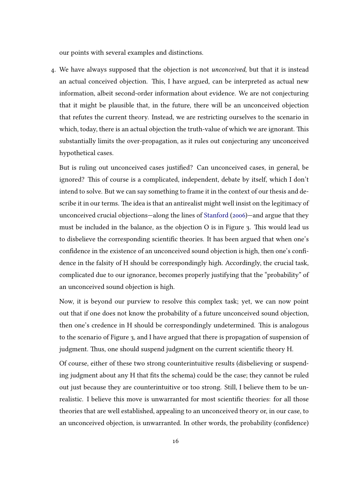our points with several examples and distinctions.

4. We have always supposed that the objection is not unconceived, but that it is instead an actual conceived objection. This, I have argued, can be interpreted as actual new information, albeit second-order information about evidence. We are not conjecturing that it might be plausible that, in the future, there will be an unconceived objection that refutes the current theory. Instead, we are restricting ourselves to the scenario in which, today, there is an actual objection the truth-value of which we are ignorant. This substantially limits the over-propagation, as it rules out conjecturing any unconceived hypothetical cases.

But is ruling out unconceived cases justified? Can unconceived cases, in general, be ignored? This of course is a complicated, independent, debate by itself, which I don't intend to solve. But we can say something to frame it in the context of our thesis and describe it in our terms. The idea is that an antirealist might well insist on the legitimacy of unconceived crucial objections—along the lines of [Stanford](#page-28-0) [\(2006\)](#page-28-0)—and argue that they must be included in the balance, as the objection  $O$  is in Figure 3. This would lead us to disbelieve the corresponding scientific theories. It has been argued that when one's confidence in the existence of an unconceived sound objection is high, then one's confidence in the falsity of H should be correspondingly high. Accordingly, the crucial task, complicated due to our ignorance, becomes properly justifying that the "probability" of an unconceived sound objection is high.

Now, it is beyond our purview to resolve this complex task; yet, we can now point out that if one does not know the probability of a future unconceived sound objection, then one's credence in H should be correspondingly undetermined. This is analogous to the scenario of Figure 3, and I have argued that there is propagation of suspension of judgment. Thus, one should suspend judgment on the current scientific theory H.

Of course, either of these two strong counterintuitive results (disbelieving or suspending judgment about any H that fits the schema) could be the case; they cannot be ruled out just because they are counterintuitive or too strong. Still, I believe them to be unrealistic. I believe this move is unwarranted for most scientific theories: for all those theories that are well established, appealing to an unconceived theory or, in our case, to an unconceived objection, is unwarranted. In other words, the probability (confidence)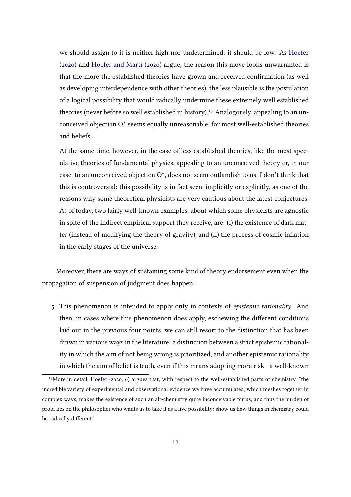we should assign to it is neither high nor undetermined; it should be low. As [Hoefer](#page-27-10)  $(2020)$  and Hoefer and Martí  $(2020)$  argue, the reason this move looks unwarranted is that the more the established theories have grown and received confirmation (as well as developing interdependence with other theories), the less plausible is the postulation of a logical possibility that would radically undermine these extremely well established theories (never before so well established in history).<sup>[13](#page-16-0)</sup> Analogously, appealing to an unconceived objection O<sup>∗</sup> seems equally unreasonable, for most well-established theories and beliefs.

At the same time, however, in the case of less established theories, like the most speculative theories of fundamental physics, appealing to an unconceived theory or, in our case, to an unconceived objection O<sup>∗</sup> , does not seem outlandish to us. I don't think that this is controversial: this possibility is in fact seen, implicitly or explicitly, as one of the reasons why some theoretical physicists are very cautious about the latest conjectures. As of today, two fairly well-known examples, about which some physicists are agnostic in spite of the indirect empirical support they receive, are: (i) the existence of dark matter (instead of modifying the theory of gravity), and (ii) the process of cosmic inflation in the early stages of the universe.

Moreover, there are ways of sustaining some kind of theory endorsement even when the propagation of suspension of judgment does happen:

5. This phenomenon is intended to apply only in contexts of epistemic rationality. And then, in cases where this phenomenon does apply, eschewing the different conditions laid out in the previous four points, we can still resort to the distinction that has been drawn in various ways in the literature: a distinction between a strict epistemic rationality in which the aim of not being wrong is prioritized, and another epistemic rationality in which the aim of belief is truth, even if this means adopting more risk—a well-known

<span id="page-16-0"></span><sup>&</sup>lt;sup>13</sup>More in detail, [Hoefer](#page-27-10) [\(2020,](#page-27-10) 6) argues that, with respect to the well-established parts of chemistry, "the incredible variety of experimental and observational evidence we have accumulated, which meshes together in complex ways, makes the existence of such an alt-chemistry quite inconceivable for us, and thus the burden of proof lies on the philosopher who wants us to take it as a live possibility: show us how things in chemistry could be radically different."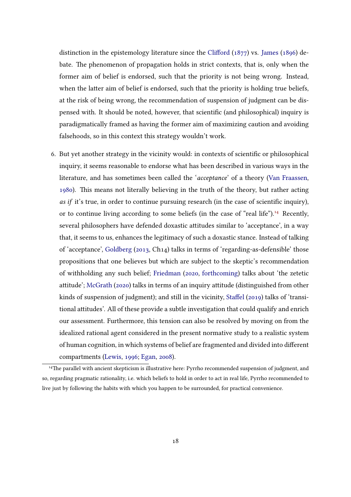distinction in the epistemology literature since the Clifford  $(1877)$  vs. [James](#page-27-11)  $(1896)$  debate. The phenomenon of propagation holds in strict contexts, that is, only when the former aim of belief is endorsed, such that the priority is not being wrong. Instead, when the latter aim of belief is endorsed, such that the priority is holding true beliefs, at the risk of being wrong, the recommendation of suspension of judgment can be dispensed with. It should be noted, however, that scientific (and philosophical) inquiry is paradigmatically framed as having the former aim of maximizing caution and avoiding falsehoods, so in this context this strategy wouldn't work.

6. But yet another strategy in the vicinity would: in contexts of scientific or philosophical inquiry, it seems reasonable to endorse what has been described in various ways in the literature, and has sometimes been called the 'acceptance' of a theory [\(Van Fraassen,](#page-28-14) [1980\)](#page-28-14). This means not literally believing in the truth of the theory, but rather acting as if it's true, in order to continue pursuing research (in the case of scientific inquiry), or to continue living according to some beliefs (in the case of "real life").<sup>[14](#page-17-0)</sup> Recently, several philosophers have defended doxastic attitudes similar to 'acceptance', in a way that, it seems to us, enhances the legitimacy of such a doxastic stance. Instead of talking of 'acceptance', [Goldberg](#page-27-12) [\(2013,](#page-27-12) Ch14) talks in terms of 'regarding-as-defensible' those propositions that one believes but which are subject to the skeptic's recommendation of withholding any such belief; [Friedman](#page-27-13) [\(2020,](#page-27-13) [forthcoming\)](#page-27-14) talks about 'the zetetic attitude'; [McGrath](#page-28-5) [\(2020\)](#page-28-5) talks in terms of an inquiry attitude (distinguished from other kinds of suspension of judgment); and still in the vicinity, Staffel [\(2019\)](#page-28-4) talks of 'transitional attitudes'. All of these provide a subtle investigation that could qualify and enrich our assessment. Furthermore, this tension can also be resolved by moving on from the idealized rational agent considered in the present normative study to a realistic system of human cognition, in which systems of belief are fragmented and divided into different compartments [\(Lewis,](#page-27-15) [1996;](#page-27-15) [Egan,](#page-27-16) [2008\)](#page-27-16).

<span id="page-17-0"></span><sup>&</sup>lt;sup>14</sup>The parallel with ancient skepticism is illustrative here: Pyrrho recommended suspension of judgment, and so, regarding pragmatic rationality, i.e. which beliefs to hold in order to act in real life, Pyrrho recommended to live just by following the habits with which you happen to be surrounded, for practical convenience.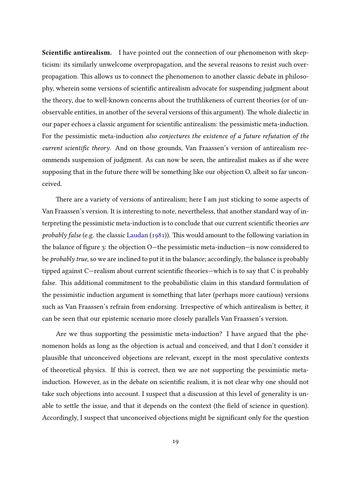<span id="page-18-0"></span>Scientific antirealism. I have pointed out the connection of our phenomenon with skepticism: its similarly unwelcome overpropagation, and the several reasons to resist such overpropagation. This allows us to connect the phenomenon to another classic debate in philosophy, wherein some versions of scientific antirealism advocate for suspending judgment about the theory, due to well-known concerns about the truthlikeness of current theories (or of unobservable entities, in another of the several versions of this argument). The whole dialectic in our paper echoes a classic argument for scientific antirealism: the pessimistic meta-induction. For the pessimistic meta-induction also conjectures the existence of a future refutation of the current scientific theory. And on those grounds, Van Fraassen's version of antirealism recommends suspension of judgment. As can now be seen, the antirealist makes as if she were supposing that in the future there will be something like our objection O, albeit so far unconceived.

There are a variety of versions of antirealism; here I am just sticking to some aspects of Van Fraassen's version. It is interesting to note, nevertheless, that another standard way of interpreting the pessimistic meta-induction is to conclude that our current scientific theories are probably false (e.g. the classic [Laudan](#page-27-17) [\(1981\)](#page-27-17)). This would amount to the following variation in the balance of figure 3: the objection  $O$ —the pessimistic meta-induction—is now considered to be *probably true*, so we are inclined to put it in the balance; accordingly, the balance is probably tipped against  $C$ —realism about current scientific theories—which is to say that  $C$  is probably false. This additional commitment to the probabilistic claim in this standard formulation of the pessimistic induction argument is something that later (perhaps more cautious) versions such as Van Fraassen's refrain from endorsing. Irrespective of which antirealism is better, it can be seen that our epistemic scenario more closely parallels Van Fraassen's version.

Are we thus supporting the pessimistic meta-induction? I have argued that the phenomenon holds as long as the objection is actual and conceived, and that I don't consider it plausible that unconceived objections are relevant, except in the most speculative contexts of theoretical physics. If this is correct, then we are not supporting the pessimistic metainduction. However, as in the debate on scientific realism, it is not clear why one should not take such objections into account. I suspect that a discussion at this level of generality is unable to settle the issue, and that it depends on the context (the field of science in question). Accordingly, I suspect that unconceived objections might be significant only for the question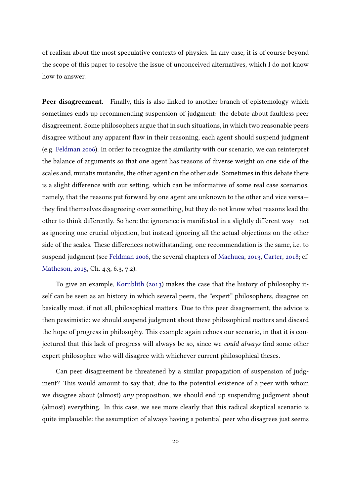of realism about the most speculative contexts of physics. In any case, it is of course beyond the scope of this paper to resolve the issue of unconceived alternatives, which I do not know how to answer.

Peer disagreement. Finally, this is also linked to another branch of epistemology which sometimes ends up recommending suspension of judgment: the debate about faultless peer disagreement. Some philosophers argue that in such situations, in which two reasonable peers disagree without any apparent flaw in their reasoning, each agent should suspend judgment (e.g. [Feldman](#page-27-18) [2006\)](#page-27-18). In order to recognize the similarity with our scenario, we can reinterpret the balance of arguments so that one agent has reasons of diverse weight on one side of the scales and, mutatis mutandis, the other agent on the other side. Sometimes in this debate there is a slight difference with our setting, which can be informative of some real case scenarios, namely, that the reasons put forward by one agent are unknown to the other and vice versa they find themselves disagreeing over something, but they do not know what reasons lead the other to think differently. So here the ignorance is manifested in a slightly different way—not as ignoring one crucial objection, but instead ignoring all the actual objections on the other side of the scales. These differences notwithstanding, one recommendation is the same, i.e. to suspend judgment (see [Feldman](#page-27-18) [2006,](#page-27-18) the several chapters of [Machuca,](#page-27-19) [2013,](#page-27-19) [Carter,](#page-26-5) [2018;](#page-26-5) cf. [Matheson,](#page-28-16) [2015,](#page-28-16) Ch. 4.3, 6.3, 7.2).

To give an example, [Kornblith](#page-27-20) [\(2013\)](#page-27-20) makes the case that the history of philosophy itself can be seen as an history in which several peers, the "expert" philosophers, disagree on basically most, if not all, philosophical matters. Due to this peer disagreement, the advice is then pessimistic: we should suspend judgment about these philosophical matters and discard the hope of progress in philosophy. This example again echoes our scenario, in that it is conjectured that this lack of progress will always be so, since we could always find some other expert philosopher who will disagree with whichever current philosophical theses.

Can peer disagreement be threatened by a similar propagation of suspension of judgment? This would amount to say that, due to the potential existence of a peer with whom we disagree about (almost) any proposition, we should end up suspending judgment about (almost) everything. In this case, we see more clearly that this radical skeptical scenario is quite implausible: the assumption of always having a potential peer who disagrees just seems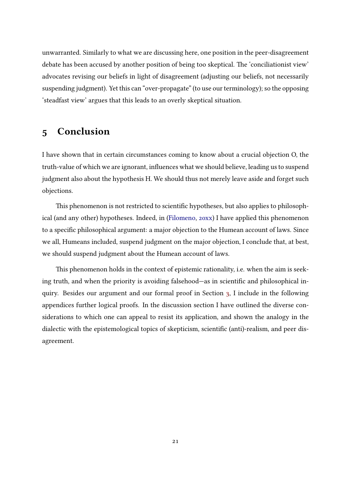unwarranted. Similarly to what we are discussing here, one position in the peer-disagreement debate has been accused by another position of being too skeptical. The 'conciliationist view' advocates revising our beliefs in light of disagreement (adjusting our beliefs, not necessarily suspending judgment). Yet this can "over-propagate" (to use our terminology); so the opposing 'steadfast view' argues that this leads to an overly skeptical situation.

#### <span id="page-20-0"></span>5 Conclusion

I have shown that in certain circumstances coming to know about a crucial objection O, the truth-value of which we are ignorant, influences what we should believe, leading us to suspend judgment also about the hypothesis H. We should thus not merely leave aside and forget such objections.

This phenomenon is not restricted to scientific hypotheses, but also applies to philosophical (and any other) hypotheses. Indeed, in [\(Filomeno,](#page-27-7) [20xx\)](#page-27-7) I have applied this phenomenon to a specific philosophical argument: a major objection to the Humean account of laws. Since we all, Humeans included, suspend judgment on the major objection, I conclude that, at best, we should suspend judgment about the Humean account of laws.

This phenomenon holds in the context of epistemic rationality, i.e. when the aim is seeking truth, and when the priority is avoiding falsehood—as in scientific and philosophical inquiry. Besides our argument and our formal proof in Section [3,](#page-11-0) I include in the following appendices further logical proofs. In the discussion section I have outlined the diverse considerations to which one can appeal to resist its application, and shown the analogy in the dialectic with the epistemological topics of skepticism, scientific (anti)-realism, and peer disagreement.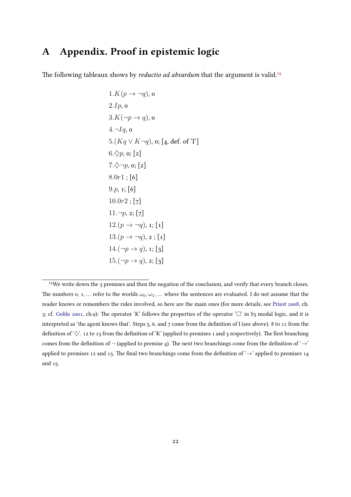## <span id="page-21-0"></span>A Appendix. Proof in epistemic logic

The following tableaux shows by *reductio ad absurdum* that the argument is valid.<sup>[15](#page-21-1)</sup>

1. 
$$
K(p \to \neg q)
$$
, o  
\n2.  $Ip$ , o  
\n3.  $K(\neg p \to q)$ , o  
\n4.  $\neg Iq$ , o  
\n5.  $(Kq \lor K \neg q)$ , o; [4, def. of 'I']  
\n6.  $\diamond$  p, o; [2]  
\n7.  $\diamond$   $\neg p$ , o; [2]  
\n8.0r1; [6]  
\n9. p, 1; [6]  
\n10.0r2; [7]  
\n11.  $\neg p$ , 2; [7]  
\n12.(p  $\rightarrow \neg q$ ), 1; [1]  
\n13.(p  $\rightarrow \neg q$ ), 2; [1]  
\n14.  $(\neg p \to q)$ , 2; [3]  
\n15.  $(\neg p \to q)$ , 2; [3]

<span id="page-21-1"></span><sup>&</sup>lt;sup>15</sup>We write down the 3 premises and then the negation of the conclusion, and verify that every branch closes. The numbers 0, 1, ... refer to the worlds  $\omega_0, \omega_1, \dots$  where the sentences are evaluated. I do not assume that the reader knows or remembers the rules involved, so here are the main ones (for more details, see [Priest](#page-28-17) [2008,](#page-28-17) ch. 3; cf. [Goble](#page-27-21) [2001,](#page-27-21) ch.9): The operator 'K' follows the properties of the operator ' $\Box$ ' in S5 modal logic, and it is interpreted as 'the agent knows that'. Steps 5, 6, and 7 come from the definition of I (see above). 8 to 11 from the definition of ' $\diamondsuit$ '. 12 to 15 from the definition of 'K' (applied to premises 1 and 3 respectively). The first branching comes from the definition of  $\neg$  (applied to premise 4). The next two branchings come from the definition of ' $\rightarrow$ ' applied to premises 12 and 13. The final two branchings come from the definition of ' $\rightarrow$ ' applied to premises 14 and 15.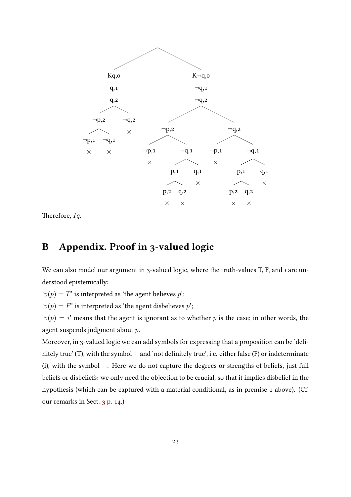

Therefore,  $Iq$ .

# <span id="page-22-0"></span>B Appendix. Proof in 3-valued logic

We can also model our argument in 3-valued logic, where the truth-values T, F, and  $i$  are understood epistemically:

 $v(p) = T'$  is interpreted as 'the agent believes p';

 $v(p) = F'$  is interpreted as 'the agent disbelieves p';

 $v(p) = i'$  means that the agent is ignorant as to whether p is the case; in other words, the agent suspends judgment about p.

Moreover, in 3-valued logic we can add symbols for expressing that a proposition can be 'definitely true' (T), with the symbol  $+$  and 'not definitely true', i.e. either false (F) or indeterminate (i), with the symbol −. Here we do not capture the degrees or strengths of beliefs, just full beliefs or disbeliefs: we only need the objection to be crucial, so that it implies disbelief in the hypothesis (which can be captured with a material conditional, as in premise 1 above). (Cf. our remarks in Sect. [3](#page-11-0) p. [14.](#page-11-0))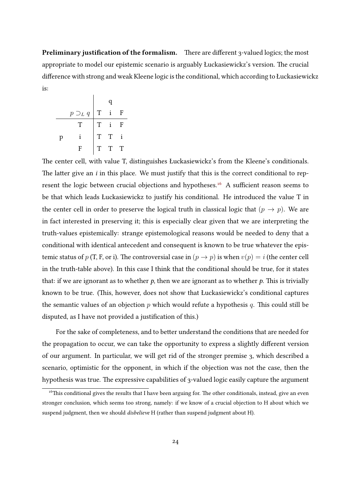<span id="page-23-1"></span>Preliminary justification of the formalism. There are different 3-valued logics; the most appropriate to model our epistemic scenario is arguably Łuckasiewickz's version. The crucial difference with strong and weak Kleene logic is the conditional, which according to Łuckasiewickz is:

|   |                 |             | Q.          |   |
|---|-----------------|-------------|-------------|---|
|   | $p \supset_L q$ | $\mathbf T$ |             | F |
|   | T               | T           |             | F |
| р |                 | T           | $\mathbf T$ |   |
|   | F               | T.          | T           | Т |

 $\mathbf{I}$ 

The center cell, with value T, distinguishes Łuckasiewickz's from the Kleene's conditionals. The latter give an  $i$  in this place. We must justify that this is the correct conditional to rep-resent the logic between crucial objections and hypotheses.<sup>[16](#page-23-0)</sup> A sufficient reason seems to be that which leads Łuckasiewickz to justify his conditional. He introduced the value T in the center cell in order to preserve the logical truth in classical logic that  $(p \to p)$ . We are in fact interested in preserving it; this is especially clear given that we are interpreting the truth-values epistemically: strange epistemological reasons would be needed to deny that a conditional with identical antecedent and consequent is known to be true whatever the epistemic status of p (T, F, or i). The controversial case in  $(p \to p)$  is when  $v(p) = i$  (the center cell in the truth-table above). In this case I think that the conditional should be true, for it states that: if we are ignorant as to whether p, then we are ignorant as to whether p. This is trivially known to be true. (This, however, does not show that Łuckasiewickz's conditional captures the semantic values of an objection  $p$  which would refute a hypothesis  $q$ . This could still be disputed, as I have not provided a justification of this.)

For the sake of completeness, and to better understand the conditions that are needed for the propagation to occur, we can take the opportunity to express a slightly different version of our argument. In particular, we will get rid of the stronger premise 3, which described a scenario, optimistic for the opponent, in which if the objection was not the case, then the hypothesis was true. The expressive capabilities of 3-valued logic easily capture the argument

<span id="page-23-0"></span> $16$ This conditional gives the results that I have been arguing for. The other conditionals, instead, give an even stronger conclusion, which seems too strong, namely: if we know of a crucial objection to H about which we suspend judgment, then we should disbelieve H (rather than suspend judgment about H).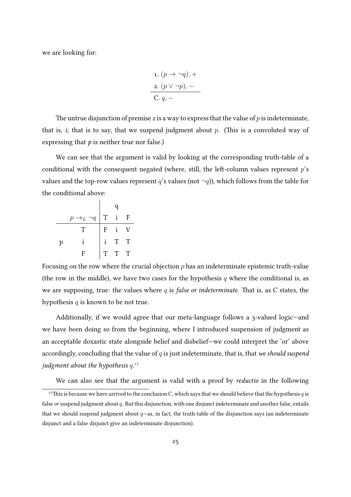we are looking for:

1. 
$$
(p \rightarrow \neg q)
$$
, +  
2.  $(p \lor \neg p)$ , –  
C.  $q$ , –

The untrue disjunction of premise 2 is a way to express that the value of  $p$  is indeterminate, that is, *i*; that is to say, that we suspend judgment about  $p$ . (This is a convoluted way of expressing that  $p$  is neither true nor false.)

We can see that the argument is valid by looking at the corresponding truth-table of a conditional with the consequent negated (where, still, the left-column values represent  $p$ 's values and the top-row values represent q's values (not  $\neg q$ )), which follows from the table for the conditional above:

|   | $p \rightarrow_L$<br>$\neg q$ | T            |   | $\overline{\mathrm{F}}$                                               |
|---|-------------------------------|--------------|---|-----------------------------------------------------------------------|
|   | T                             | F            |   | $\overline{V}$                                                        |
| p |                               |              | T | $\begin{array}{c} \mathbf{r} \\ \mathbf{T} \\ \mathbf{T} \end{array}$ |
|   | F                             | $\mathbf{T}$ | T |                                                                       |

Focusing on the row where the crucial objection  $p$  has an indeterminate epistemic truth-value (the row in the middle), we have two cases for the hypothesis  $q$  where the conditional is, as we are supposing, true: the values where  $q$  is false or indeterminate. That is, as C states, the hypothesis  $q$  is known to be not true.

Additionally, if we would agree that our meta-language follows a 3-valued logic—and we have been doing so from the beginning, where I introduced suspension of judgment as an acceptable doxastic state alongside belief and disbelief—we could interpret the 'or' above accordingly, concluding that the value of  $q$  is just indeterminate, that is, that we should suspend judgment about the hypothesis  $q.^{17}$  $q.^{17}$  $q.^{17}$ 

<span id="page-24-0"></span>We can also see that the argument is valid with a proof by *reductio* in the following

<sup>&</sup>lt;sup>17</sup>This is because we have arrived to the conclusion C, which says that we should believe that the hypothesis  $q$  is false or suspend judgment about q. But this disjunction, with one disjunct indeterminate and another false, entails that we should suspend judgment about  $q$ —as, in fact, the truth-table of the disjunction says (an indeterminate disjunct and a false disjunct give an indeterminate disjunction).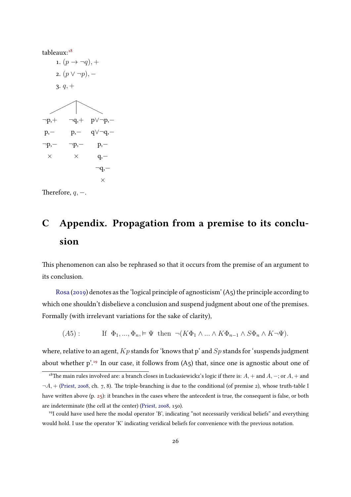

Therefore,  $q, -$ .

# <span id="page-25-0"></span>C Appendix. Propagation from a premise to its conclusion

This phenomenon can also be rephrased so that it occurs from the premise of an argument to its conclusion.

[Rosa](#page-28-6) [\(2019\)](#page-28-6) denotes as the 'logical principle of agnosticism' (A5) the principle according to which one shouldn't disbelieve a conclusion and suspend judgment about one of the premises. Formally (with irrelevant variations for the sake of clarity),

 $(A5)$ : If  $\Phi_1, ..., \Phi_n \models \Psi$  then  $\neg(K\Phi_1 \land ... \land K\Phi_{n-1} \land S\Phi_n \land K\neg\Psi)$ .

where, relative to an agent,  $Kp$  stands for 'knows that p' and  $Sp$  stands for 'suspends judgment about whether  $p^{1.19}$  $p^{1.19}$  $p^{1.19}$  In our case, it follows from (A5) that, since one is agnostic about one of

<span id="page-25-1"></span><sup>&</sup>lt;sup>18</sup>The main rules involved are: a branch closes in Łuckasiewickz's logic if there is:  $A$ , + and  $A$ , -; or  $A$ , + and  $\neg A$ , + [\(Priest,](#page-28-17) [2008,](#page-28-17) ch. 7, 8). The triple-branching is due to the conditional (of premise 2), whose truth-table I have written above (p. [25\)](#page-23-1): it branches in the cases where the antecedent is true, the consequent is false, or both are indeterminate (the cell at the center) [\(Priest,](#page-28-17) [2008,](#page-28-17) 150).

<span id="page-25-2"></span><sup>19</sup>I could have used here the modal operator 'B', indicating "not necessarily veridical beliefs" and everything would hold. I use the operator 'K' indicating veridical beliefs for convenience with the previous notation.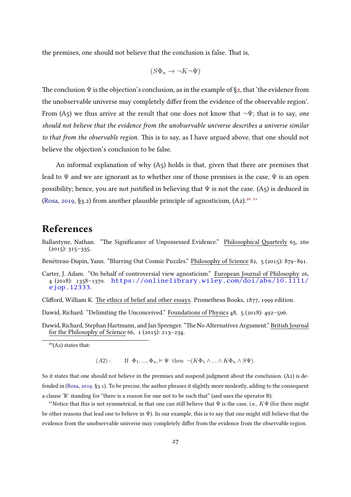the premises, one should not believe that the conclusion is false. That is,

$$
(S\Phi_n \to \neg K\neg \Psi)
$$

The conclusion  $\Psi$  is the objection's conclusion, as in the example of [§2,](#page-7-2) that 'the evidence from the unobservable universe may completely differ from the evidence of the observable region'. From (A5) we thus arrive at the result that one does not know that  $\neg \Psi$ ; that is to say, one should not believe that the evidence from the unobservable universe describes a universe similar to that from the observable region. This is to say, as I have argued above, that one should not believe the objection's conclusion to be false.

An informal explanation of why (A5) holds is that, given that there are premises that lead to  $\Psi$  and we are ignorant as to whether one of those premises is the case,  $\Psi$  is an open possibility; hence, you are not justified in believing that  $\Psi$  is not the case. (A5) is deduced in [\(Rosa,](#page-28-6) [2019,](#page-28-6) §3.2) from another plausible principle of agnosticism,  $(A_2)$ <sup>[20](#page-26-6) [21](#page-26-7)</sup>

#### References

<span id="page-26-3"></span>Ballantyne, Nathan. "The Significance of Unpossessed Evidence." Philosophical Quarterly 65, 260  $(2015): 315-335.$ 

<span id="page-26-2"></span>Benétreau-Dupin, Yann. "Blurring Out Cosmic Puzzles." Philosophy of Science 82, 5 (2015): 879-891.

<span id="page-26-5"></span>Carter, J. Adam. "On behalf of controversial view agnosticism." European Journal of Philosophy 26, 4 (2018): 1358–1370. [https://onlinelibrary.wiley.com/doi/abs/10.1111/](https://onlinelibrary.wiley.com/doi/abs/10.1111/ejop.12333) [ejop.12333](https://onlinelibrary.wiley.com/doi/abs/10.1111/ejop.12333).

<span id="page-26-4"></span>Clifford, William K. The ethics of belief and other essays. Prometheus Books, 1877, 1999 edition.

<span id="page-26-1"></span>Dawid, Richard. "Delimiting the Unconceived." Foundations of Physics 48, 5 (2018): 492–506.

<span id="page-26-0"></span>Dawid, Richard, Stephan Hartmann, and Jan Sprenger. "The No Alternatives Argument." British Journal for the Philosophy of Science 66,  $1$  (2015): 213–234.

 $(A2)$ : If  $\Phi_1, ..., \Phi_n \models \Psi$  then  $\neg(K\Phi_1 \land ... \land K\Phi_n \land S\Psi)$ .

So it states that one should not believe in the premises and suspend judgment about the conclusion. (A2) is defended in [\(Rosa,](#page-28-6) [2019,](#page-28-6) §3.1). To be precise, the author phrases it slightly more modestly, adding to the consequent a clause 'R' standing for "there is a reason for one not to be such that" (and uses the operator B).

<span id="page-26-7"></span><sup>21</sup>Notice that this is not symmetrical, in that one can still believe that  $\Psi$  is the case, i.e.,  $K\Psi$  (for there might be other reasons that lead one to believe in  $\Psi$ ). In our example, this is to say that one might still believe that the evidence from the unobservable universe may completely differ from the evidence from the observable region.

<span id="page-26-6"></span> $20(A_2)$  states that: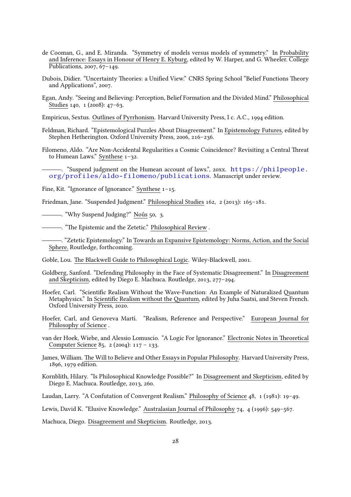- <span id="page-27-4"></span>de Cooman, G., and E. Miranda. "Symmetry of models versus models of symmetry." In Probability and Inference: Essays in Honour of Henry E. Kyburg, edited by W. Harper, and G. Wheeler. College Publications, 2007, 67–149.
- <span id="page-27-5"></span>Dubois, Didier. "Uncertainty Theories: a Unified View." CNRS Spring School "Belief Functions Theory and Applications", 2007.
- <span id="page-27-16"></span>Egan, Andy. "Seeing and Believing: Perception, Belief Formation and the Divided Mind." Philosophical Studies 140, 1 (2008): 47–63.
- <span id="page-27-3"></span>Empiricus, Sextus. Outlines of Pyrrhonism. Harvard University Press, I c. A.C., 1994 edition.
- <span id="page-27-18"></span>Feldman, Richard. "Epistemological Puzzles About Disagreement." In Epistemology Futures, edited by Stephen Hetherington. Oxford University Press, 2006, 216–236.
- <span id="page-27-6"></span>Filomeno, Aldo. "Are Non-Accidental Regularities a Cosmic Coincidence? Revisiting a Central Threat to Humean Laws." Synthese 1–32.
- <span id="page-27-7"></span>-. "Suspend judgment on the Humean account of laws.", 20xx. [https://philpeople.](https://philpeople.org/profiles/aldo-filomeno/publications) [org/profiles/aldo-filomeno/publications](https://philpeople.org/profiles/aldo-filomeno/publications). Manuscript under review.
- <span id="page-27-9"></span>Fine, Kit. "Ignorance of Ignorance." Synthese 1–15.
- <span id="page-27-1"></span>Friedman, Jane. "Suspended Judgment." Philosophical Studies 162, 2 (2013): 165–181.
- <span id="page-27-2"></span>. "Why Suspend Judging?" Nous 50, 3. ˆ
- <span id="page-27-13"></span>. "The Epistemic and the Zetetic." Philosophical Review .
- <span id="page-27-14"></span>-. "Zetetic Epistemology." In Towards an Expansive Epistemology: Norms, Action, and the Social Sphere. Routledge, forthcoming.
- <span id="page-27-21"></span>Goble, Lou. The Blackwell Guide to Philosophical Logic. Wiley-Blackwell, 2001.
- <span id="page-27-12"></span>Goldberg, Sanford. "Defending Philosophy in the Face of Systematic Disagreement." In Disagreement and Skepticism, edited by Diego E. Machuca. Routledge, 2013, 277–294.
- <span id="page-27-10"></span>Hoefer, Carl. "Scientific Realism Without the Wave-Function: An Example of Naturalized Quantum Metaphysics." In Scientific Realism without the Quantum, edited by Juha Saatsi, and Steven French. Oxford University Press, 2020.
- <span id="page-27-0"></span>Hoefer, Carl, and Genoveva Martí. "Realism, Reference and Perspective." European Journal for Philosophy of Science .
- <span id="page-27-8"></span>van der Hoek, Wiebe, and Alessio Lomuscio. "A Logic For Ignorance." Electronic Notes in Theoretical Computer Science 85, 2 (2004): 117 – 133.
- <span id="page-27-11"></span>James, William. The Will to Believe and Other Essays in Popular Philosophy. Harvard University Press, 1896, 1979 edition.
- <span id="page-27-20"></span>Kornblith, Hilary. "Is Philosophical Knowledge Possible?" In Disagreement and Skepticism, edited by Diego E. Machuca. Routledge, 2013, 260.
- <span id="page-27-17"></span>Laudan, Larry. "A Confutation of Convergent Realism." Philosophy of Science 48, 1 (1981): 19–49.

<span id="page-27-15"></span>Lewis, David K. "Elusive Knowledge." Australasian Journal of Philosophy 74, 4 (1996): 549–567.

<span id="page-27-19"></span>Machuca, Diego. Disagreement and Skepticism. Routledge, 2013.